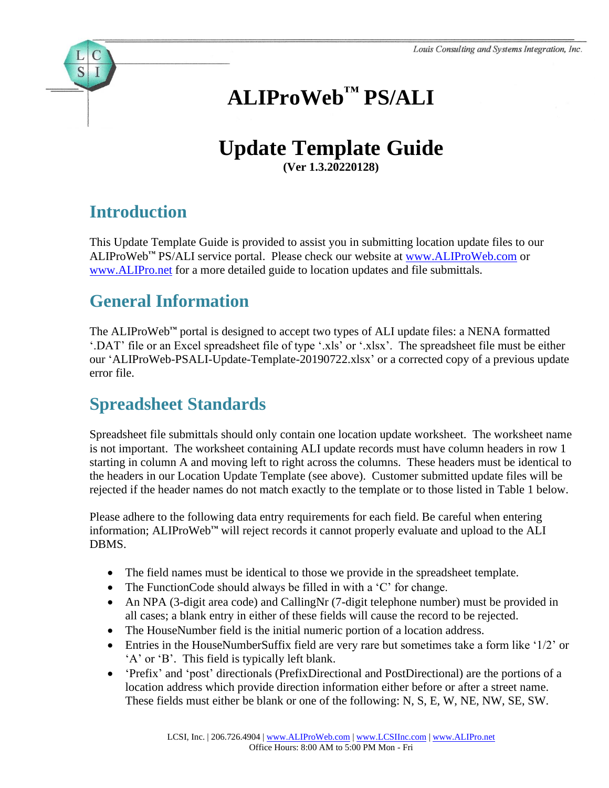# **ALIProWeb™ PS/ALI**

# **Update Template Guide**

**(Ver 1.3.20220128)**

## **Introduction**

S

This Update Template Guide is provided to assist you in submitting location update files to our ALIProWeb**™** PS/ALI service portal. Please check our website at [www.ALIProWeb.com](http://www.aliproweb.com/) or [www.ALIPro.net](http://www.alipro.net/) for a more detailed guide to location updates and file submittals.

#### **General Information**

The ALIProWeb**™** portal is designed to accept two types of ALI update files: a NENA formatted '.DAT' file or an Excel spreadsheet file of type '.xls' or '.xlsx'. The spreadsheet file must be either our 'ALIProWeb-PSALI-Update-Template-20190722.xlsx' or a corrected copy of a previous update error file.

#### **Spreadsheet Standards**

Spreadsheet file submittals should only contain one location update worksheet. The worksheet name is not important. The worksheet containing ALI update records must have column headers in row 1 starting in column A and moving left to right across the columns. These headers must be identical to the headers in our Location Update Template (see above). Customer submitted update files will be rejected if the header names do not match exactly to the template or to those listed in Table 1 below.

Please adhere to the following data entry requirements for each field. Be careful when entering information; ALIProWeb**™** will reject records it cannot properly evaluate and upload to the ALI DBMS.

- The field names must be identical to those we provide in the spreadsheet template.
- The FunctionCode should always be filled in with a 'C' for change.
- An NPA (3-digit area code) and CallingNr (7-digit telephone number) must be provided in all cases; a blank entry in either of these fields will cause the record to be rejected.
- The HouseNumber field is the initial numeric portion of a location address.
- Entries in the HouseNumberSuffix field are very rare but sometimes take a form like '1/2' or 'A' or 'B'. This field is typically left blank.
- 'Prefix' and 'post' directionals (PrefixDirectional and PostDirectional) are the portions of a location address which provide direction information either before or after a street name. These fields must either be blank or one of the following: N, S, E, W, NE, NW, SE, SW.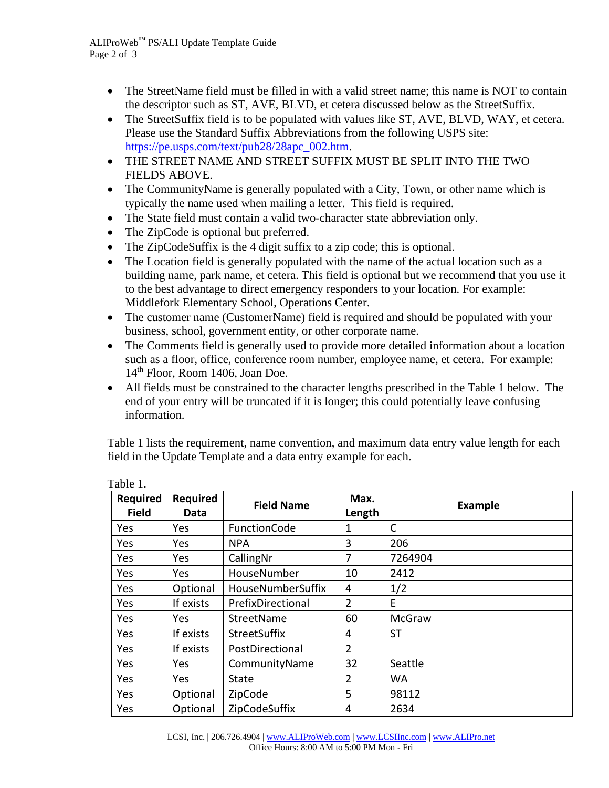- The StreetName field must be filled in with a valid street name; this name is NOT to contain the descriptor such as ST, AVE, BLVD, et cetera discussed below as the StreetSuffix.
- The StreetSuffix field is to be populated with values like ST, AVE, BLVD, WAY, et cetera. Please use the Standard Suffix Abbreviations from the following USPS site: [https://pe.usps.com/text/pub28/28apc\\_002.htm.](https://pe.usps.com/text/pub28/28apc_002.htm)
- THE STREET NAME AND STREET SUFFIX MUST BE SPLIT INTO THE TWO FIELDS ABOVE.
- The CommunityName is generally populated with a City, Town, or other name which is typically the name used when mailing a letter. This field is required.
- The State field must contain a valid two-character state abbreviation only.
- The ZipCode is optional but preferred.
- The ZipCodeSuffix is the 4 digit suffix to a zip code; this is optional.
- The Location field is generally populated with the name of the actual location such as a building name, park name, et cetera. This field is optional but we recommend that you use it to the best advantage to direct emergency responders to your location. For example: Middlefork Elementary School, Operations Center.
- The customer name (CustomerName) field is required and should be populated with your business, school, government entity, or other corporate name.
- The Comments field is generally used to provide more detailed information about a location such as a floor, office, conference room number, employee name, et cetera. For example: 14th Floor, Room 1406, Joan Doe.
- All fields must be constrained to the character lengths prescribed in the Table 1 below. The end of your entry will be truncated if it is longer; this could potentially leave confusing information.

Table 1 lists the requirement, name convention, and maximum data entry value length for each field in the Update Template and a data entry example for each.

| ravivi.                         |                  |                     |                |                |  |
|---------------------------------|------------------|---------------------|----------------|----------------|--|
| <b>Required</b><br><b>Field</b> | Required<br>Data | <b>Field Name</b>   | Max.<br>Length | <b>Example</b> |  |
| Yes                             | Yes.             | FunctionCode        | 1              | C              |  |
| Yes                             | Yes              | <b>NPA</b>          | 3              | 206            |  |
| Yes                             | Yes              | CallingNr           | 7              | 7264904        |  |
| Yes                             | Yes              | HouseNumber         | 10             | 2412           |  |
| Yes                             | Optional         | HouseNumberSuffix   | 4              | 1/2            |  |
| Yes                             | If exists        | PrefixDirectional   | $\overline{2}$ | E              |  |
| Yes                             | Yes              | StreetName          | 60             | <b>McGraw</b>  |  |
| Yes                             | If exists        | <b>StreetSuffix</b> | 4              | <b>ST</b>      |  |
| Yes                             | If exists        | PostDirectional     | $\overline{2}$ |                |  |
| Yes                             | Yes.             | CommunityName       | 32             | Seattle        |  |
| Yes                             | Yes              | State               | $\overline{2}$ | WA             |  |
| Yes                             | Optional         | ZipCode             | 5              | 98112          |  |
| Yes                             | Optional         | ZipCodeSuffix       | 4              | 2634           |  |

Table 1.